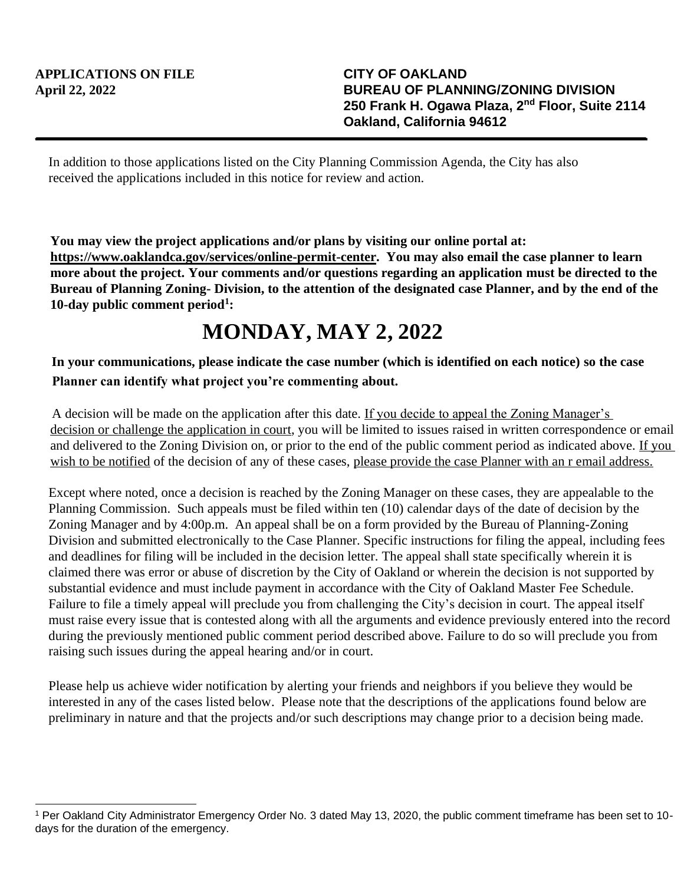In addition to those applications listed on the City Planning Commission Agenda, the City has also received the applications included in this notice for review and action.

**You may view the project applications and/or plans by visiting our online portal at: https://www.oaklandca.gov/services/online-permit-center. You may also email the case planner to learn more about the project. Your comments and/or questions regarding an application must be directed to the Bureau of Planning Zoning- Division, to the attention of the designated case Planner, and by the end of the 10-day public comment period<sup>1</sup> :**

## **MONDAY, MAY 2, 2022**

## **In your communications, please indicate the case number (which is identified on each notice) so the case Planner can identify what project you're commenting about.**

A decision will be made on the application after this date. If you decide to appeal the Zoning Manager's decision or challenge the application in court, you will be limited to issues raised in written correspondence or email and delivered to the Zoning Division on, or prior to the end of the public comment period as indicated above. If you wish to be notified of the decision of any of these cases, please provide the case Planner with an r email address.

Except where noted, once a decision is reached by the Zoning Manager on these cases, they are appealable to the Planning Commission. Such appeals must be filed within ten (10) calendar days of the date of decision by the Zoning Manager and by 4:00p.m. An appeal shall be on a form provided by the Bureau of Planning-Zoning Division and submitted electronically to the Case Planner. Specific instructions for filing the appeal, including fees and deadlines for filing will be included in the decision letter. The appeal shall state specifically wherein it is claimed there was error or abuse of discretion by the City of Oakland or wherein the decision is not supported by substantial evidence and must include payment in accordance with the City of Oakland Master Fee Schedule. Failure to file a timely appeal will preclude you from challenging the City's decision in court. The appeal itself must raise every issue that is contested along with all the arguments and evidence previously entered into the record during the previously mentioned public comment period described above. Failure to do so will preclude you from raising such issues during the appeal hearing and/or in court.

Please help us achieve wider notification by alerting your friends and neighbors if you believe they would be interested in any of the cases listed below. Please note that the descriptions of the applications found below are preliminary in nature and that the projects and/or such descriptions may change prior to a decision being made.

<sup>1</sup> Per Oakland City Administrator Emergency Order No. 3 dated May 13, 2020, the public comment timeframe has been set to 10 days for the duration of the emergency.